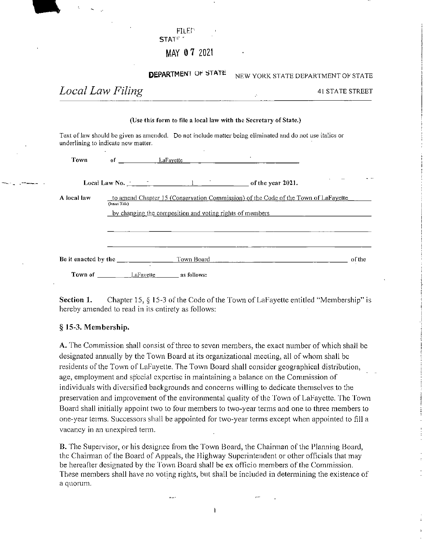|                  | MAY 07 2021                                                                                                                                                                                                                                                                                                                                                                                                |                                                                                            |                                    |
|------------------|------------------------------------------------------------------------------------------------------------------------------------------------------------------------------------------------------------------------------------------------------------------------------------------------------------------------------------------------------------------------------------------------------------|--------------------------------------------------------------------------------------------|------------------------------------|
|                  | <b>DEPARTMENT OF STATE</b>                                                                                                                                                                                                                                                                                                                                                                                 |                                                                                            | NEW YORK STATE DEPARTMENT OF STATE |
| Local Law Filing |                                                                                                                                                                                                                                                                                                                                                                                                            | $\mathcal{O}(\mathcal{O}_\mathcal{O})$ . The set of $\mathcal{O}(\mathcal{O}_\mathcal{O})$ | <b>41 STATE STREET</b>             |
|                  | (Use this form to file a local law with the Secretary of State.)                                                                                                                                                                                                                                                                                                                                           |                                                                                            |                                    |
|                  | Text of law should be given as amended. Do not include matter being eliminated and do not use italics or<br>underlining to indicate new matter.                                                                                                                                                                                                                                                            |                                                                                            |                                    |
| <b>Town</b>      |                                                                                                                                                                                                                                                                                                                                                                                                            |                                                                                            |                                    |
|                  | Local Law No. $\frac{1}{\sqrt{1-\frac{1}{1-\frac{1}{1-\frac{1}{1-\frac{1}{1-\frac{1}{1-\frac{1}{1-\frac{1}{1-\frac{1}{1-\frac{1}{1-\frac{1}{1-\frac{1}{1-\frac{1}{1-\frac{1}{1-\frac{1}{1-\frac{1}{1-\frac{1}{1-\frac{1}{1-\frac{1}{1-\frac{1}{1-\frac{1}{1-\frac{1}{1-\frac{1}{1-\frac{1}{1-\frac{1}{1-\frac{1}{1-\frac{1}{1-\frac{1}{1-\frac{1}{1-\frac{1}{1-\frac{1}{1-\frac{1}{1-\frac{1}{1-\frac{1}{$ |                                                                                            |                                    |
| A local law      | to amend Chapter 15 (Conservation Commission) of the Code of the Town of LaFayette<br>(Insert Title)                                                                                                                                                                                                                                                                                                       |                                                                                            |                                    |
|                  | by changing the composition and voting rights of members <b>the contract of the contract of the contract of the contract of the contract of the contract of the contract of the contract of the contract of the contract of the </b>                                                                                                                                                                       |                                                                                            |                                    |
|                  |                                                                                                                                                                                                                                                                                                                                                                                                            |                                                                                            |                                    |
|                  |                                                                                                                                                                                                                                                                                                                                                                                                            |                                                                                            |                                    |
|                  |                                                                                                                                                                                                                                                                                                                                                                                                            | Town Board                                                                                 | of the                             |
| Town of          | LaFayette<br>as follows:                                                                                                                                                                                                                                                                                                                                                                                   |                                                                                            |                                    |

FiLEr

STATE<sup>'</sup>

Section 1. Chapter 15, § 15-3 of the Code of the Town of LaFayette entitled "Membership" is hereby amended to read in its entirety as follows:

## § 15-3. Membership.

A. The Commission shall consist of three to seven members, the exact number of which shall be designated annually by the Town Board at its organizational meeting, all of whom shall be residents of the Town of LaFayette. The Town Board shall consider geographical distribution, age, employment and special expertise in maintaining a balance on the Commission of individuals with diversified backgrounds and concerns willing to dedicate themselves to the preservation and improvement of the environmental quality of the Town of LaFayette. The Town Board shall initially appoint two to four members to two-year terms and one to three members to one-year terms. Successors shall be appointed for two-year terms except when appointed to fill a vacancy in an unexpired term.

B. The Supervisor, or his designee from the Town Board, the Chairman of the Planning Board, the Chairman of the Board of Appeals, the Highway Superintendent or other officials that may be hereafter designated by the Town Board shall be ex officio members of the Commission. These members shall have no voting rights, but shall be included in determining the existence of a quorum.

 $\mathbf{I}$ 

 $\ldots$